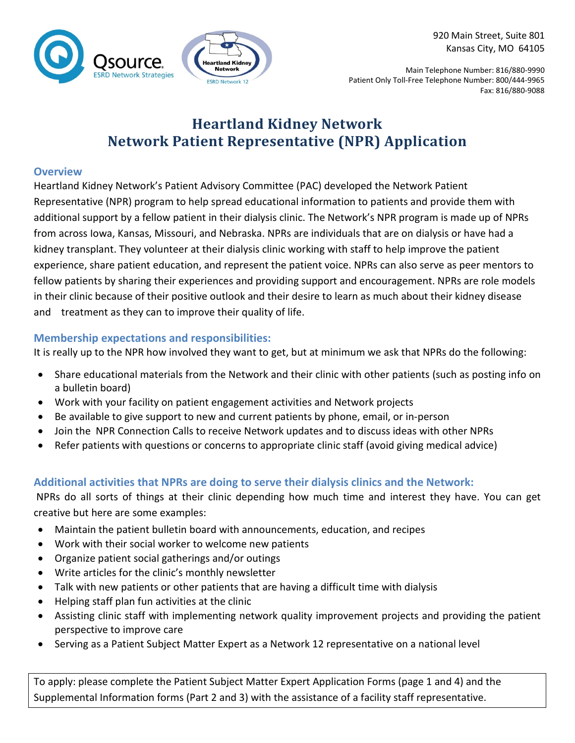



Main Telephone Number: 816/880-9990 Patient Only Toll-Free Telephone Number: 800/444-9965 Fax: 816/880-9088

## **Heartland Kidney Network Network Patient Representative (NPR) Application**

#### **Overview**

Heartland Kidney Network's Patient Advisory Committee (PAC) developed the Network Patient Representative (NPR) program to help spread educational information to patients and provide them with additional support by a fellow patient in their dialysis clinic. The Network's NPR program is made up of NPRs from across Iowa, Kansas, Missouri, and Nebraska. NPRs are individuals that are on dialysis or have had a kidney transplant. They volunteer at their dialysis clinic working with staff to help improve the patient experience, share patient education, and represent the patient voice. NPRs can also serve as peer mentors to fellow patients by sharing their experiences and providing support and encouragement. NPRs are role models in their clinic because of their positive outlook and their desire to learn as much about their kidney disease and treatment as they can to improve their quality of life.

### **Membership expectations and responsibilities:**

It is really up to the NPR how involved they want to get, but at minimum we ask that NPRs do the following:

- Share educational materials from the Network and their clinic with other patients (such as posting info on a bulletin board)
- Work with your facility on patient engagement activities and Network projects
- Be available to give support to new and current patients by phone, email, or in-person
- Join the NPR Connection Calls to receive Network updates and to discuss ideas with other NPRs
- Refer patients with questions or concerns to appropriate clinic staff (avoid giving medical advice)

### **Additional activities that NPRs are doing to serve their dialysis clinics and the Network:**

NPRs do all sorts of things at their clinic depending how much time and interest they have. You can get creative but here are some examples:

- Maintain the patient bulletin board with announcements, education, and recipes
- Work with their social worker to welcome new patients
- Organize patient social gatherings and/or outings
- Write articles for the clinic's monthly newsletter
- Talk with new patients or other patients that are having a difficult time with dialysis
- Helping staff plan fun activities at the clinic
- Assisting clinic staff with implementing network quality improvement projects and providing the patient perspective to improve care
- Serving as a Patient Subject Matter Expert as a Network 12 representative on a national level

To apply: please complete the Patient Subject Matter Expert Application Forms (page 1 and 4) and the Supplemental Information forms (Part 2 and 3) with the assistance of a facility staff representative.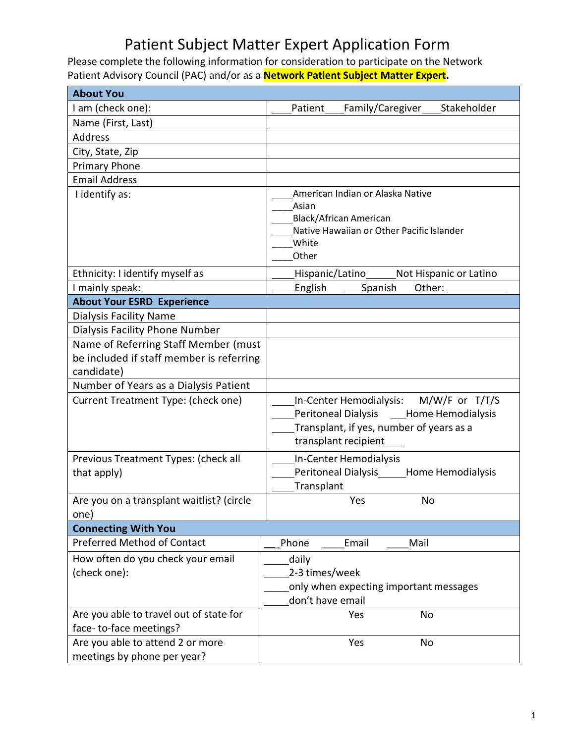# Patient Subject Matter Expert Application Form

Please complete the following information for consideration to participate on the Network Patient Advisory Council (PAC) and/or as a **Network Patient Subject Matter Expert.**

| <b>About You</b>                                                                               |                                                                                                                                                               |
|------------------------------------------------------------------------------------------------|---------------------------------------------------------------------------------------------------------------------------------------------------------------|
| I am (check one):                                                                              | Patient<br>Family/Caregiver<br>Stakeholder                                                                                                                    |
| Name (First, Last)                                                                             |                                                                                                                                                               |
| <b>Address</b>                                                                                 |                                                                                                                                                               |
| City, State, Zip                                                                               |                                                                                                                                                               |
| Primary Phone                                                                                  |                                                                                                                                                               |
| <b>Email Address</b>                                                                           |                                                                                                                                                               |
| I identify as:                                                                                 | American Indian or Alaska Native<br>Asian<br><b>Black/African American</b><br>Native Hawaiian or Other Pacific Islander<br>White<br>Other                     |
| Ethnicity: I identify myself as                                                                | Not Hispanic or Latino<br>Hispanic/Latino                                                                                                                     |
| I mainly speak:                                                                                | English<br>Spanish<br>Other:                                                                                                                                  |
| <b>About Your ESRD Experience</b>                                                              |                                                                                                                                                               |
| <b>Dialysis Facility Name</b>                                                                  |                                                                                                                                                               |
| Dialysis Facility Phone Number                                                                 |                                                                                                                                                               |
| Name of Referring Staff Member (must<br>be included if staff member is referring<br>candidate) |                                                                                                                                                               |
| Number of Years as a Dialysis Patient                                                          |                                                                                                                                                               |
| Current Treatment Type: (check one)                                                            | In-Center Hemodialysis: M/W/F or T/T/S<br><b>Peritoneal Dialysis</b><br>Home Hemodialysis<br>Transplant, if yes, number of years as a<br>transplant recipient |
| Previous Treatment Types: (check all<br>that apply)                                            | In-Center Hemodialysis<br>Peritoneal Dialysis______Home Hemodialysis<br>Transplant                                                                            |
| Are you on a transplant waitlist? (circle<br>one)                                              | Yes<br><b>No</b>                                                                                                                                              |
| <b>Connecting With You</b>                                                                     |                                                                                                                                                               |
| <b>Preferred Method of Contact</b>                                                             | Phone<br>Email<br>Mail                                                                                                                                        |
| How often do you check your email                                                              | daily                                                                                                                                                         |
| (check one):                                                                                   | 2-3 times/week                                                                                                                                                |
|                                                                                                | only when expecting important messages<br>don't have email                                                                                                    |
| Are you able to travel out of state for<br>face-to-face meetings?                              | No<br>Yes                                                                                                                                                     |
| Are you able to attend 2 or more<br>meetings by phone per year?                                | Yes<br>No                                                                                                                                                     |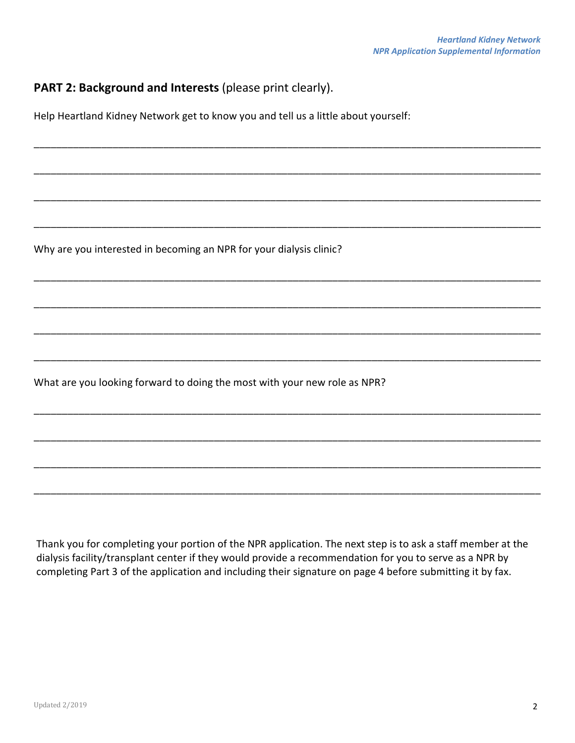### **PART 2: Background and Interests** (please print clearly).

Help Heartland Kidney Network get to know you and tell us a little about yourself:

\_\_\_\_\_\_\_\_\_\_\_\_\_\_\_\_\_\_\_\_\_\_\_\_\_\_\_\_\_\_\_\_\_\_\_\_\_\_\_\_\_\_\_\_\_\_\_\_\_\_\_\_\_\_\_\_\_\_\_\_\_\_\_\_\_\_\_\_\_\_\_\_\_\_\_\_\_\_\_\_\_\_\_\_\_\_\_\_\_\_

\_\_\_\_\_\_\_\_\_\_\_\_\_\_\_\_\_\_\_\_\_\_\_\_\_\_\_\_\_\_\_\_\_\_\_\_\_\_\_\_\_\_\_\_\_\_\_\_\_\_\_\_\_\_\_\_\_\_\_\_\_\_\_\_\_\_\_\_\_\_\_\_\_\_\_\_\_\_\_\_\_\_\_\_\_\_\_\_\_\_

\_\_\_\_\_\_\_\_\_\_\_\_\_\_\_\_\_\_\_\_\_\_\_\_\_\_\_\_\_\_\_\_\_\_\_\_\_\_\_\_\_\_\_\_\_\_\_\_\_\_\_\_\_\_\_\_\_\_\_\_\_\_\_\_\_\_\_\_\_\_\_\_\_\_\_\_\_\_\_\_\_\_\_\_\_\_\_\_\_\_

\_\_\_\_\_\_\_\_\_\_\_\_\_\_\_\_\_\_\_\_\_\_\_\_\_\_\_\_\_\_\_\_\_\_\_\_\_\_\_\_\_\_\_\_\_\_\_\_\_\_\_\_\_\_\_\_\_\_\_\_\_\_\_\_\_\_\_\_\_\_\_\_\_\_\_\_\_\_\_\_\_\_\_\_\_\_\_\_\_\_

\_\_\_\_\_\_\_\_\_\_\_\_\_\_\_\_\_\_\_\_\_\_\_\_\_\_\_\_\_\_\_\_\_\_\_\_\_\_\_\_\_\_\_\_\_\_\_\_\_\_\_\_\_\_\_\_\_\_\_\_\_\_\_\_\_\_\_\_\_\_\_\_\_\_\_\_\_\_\_\_\_\_\_\_\_\_\_\_\_\_

\_\_\_\_\_\_\_\_\_\_\_\_\_\_\_\_\_\_\_\_\_\_\_\_\_\_\_\_\_\_\_\_\_\_\_\_\_\_\_\_\_\_\_\_\_\_\_\_\_\_\_\_\_\_\_\_\_\_\_\_\_\_\_\_\_\_\_\_\_\_\_\_\_\_\_\_\_\_\_\_\_\_\_\_\_\_\_\_\_\_

\_\_\_\_\_\_\_\_\_\_\_\_\_\_\_\_\_\_\_\_\_\_\_\_\_\_\_\_\_\_\_\_\_\_\_\_\_\_\_\_\_\_\_\_\_\_\_\_\_\_\_\_\_\_\_\_\_\_\_\_\_\_\_\_\_\_\_\_\_\_\_\_\_\_\_\_\_\_\_\_\_\_\_\_\_\_\_\_\_\_

\_\_\_\_\_\_\_\_\_\_\_\_\_\_\_\_\_\_\_\_\_\_\_\_\_\_\_\_\_\_\_\_\_\_\_\_\_\_\_\_\_\_\_\_\_\_\_\_\_\_\_\_\_\_\_\_\_\_\_\_\_\_\_\_\_\_\_\_\_\_\_\_\_\_\_\_\_\_\_\_\_\_\_\_\_\_\_\_\_\_

\_\_\_\_\_\_\_\_\_\_\_\_\_\_\_\_\_\_\_\_\_\_\_\_\_\_\_\_\_\_\_\_\_\_\_\_\_\_\_\_\_\_\_\_\_\_\_\_\_\_\_\_\_\_\_\_\_\_\_\_\_\_\_\_\_\_\_\_\_\_\_\_\_\_\_\_\_\_\_\_\_\_\_\_\_\_\_\_\_\_

\_\_\_\_\_\_\_\_\_\_\_\_\_\_\_\_\_\_\_\_\_\_\_\_\_\_\_\_\_\_\_\_\_\_\_\_\_\_\_\_\_\_\_\_\_\_\_\_\_\_\_\_\_\_\_\_\_\_\_\_\_\_\_\_\_\_\_\_\_\_\_\_\_\_\_\_\_\_\_\_\_\_\_\_\_\_\_\_\_\_

\_\_\_\_\_\_\_\_\_\_\_\_\_\_\_\_\_\_\_\_\_\_\_\_\_\_\_\_\_\_\_\_\_\_\_\_\_\_\_\_\_\_\_\_\_\_\_\_\_\_\_\_\_\_\_\_\_\_\_\_\_\_\_\_\_\_\_\_\_\_\_\_\_\_\_\_\_\_\_\_\_\_\_\_\_\_\_\_\_\_

\_\_\_\_\_\_\_\_\_\_\_\_\_\_\_\_\_\_\_\_\_\_\_\_\_\_\_\_\_\_\_\_\_\_\_\_\_\_\_\_\_\_\_\_\_\_\_\_\_\_\_\_\_\_\_\_\_\_\_\_\_\_\_\_\_\_\_\_\_\_\_\_\_\_\_\_\_\_\_\_\_\_\_\_\_\_\_\_\_\_

Why are you interested in becoming an NPR for your dialysis clinic?

What are you looking forward to doing the most with your new role as NPR?

Thank you for completing your portion of the NPR application. The next step is to ask a staff member at the dialysis facility/transplant center if they would provide a recommendation for you to serve as a NPR by completing Part 3 of the application and including their signature on page 4 before submitting it by fax.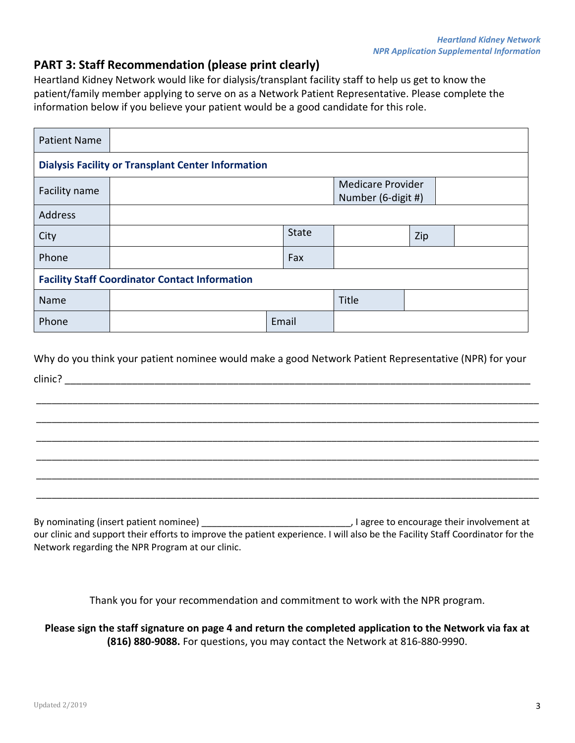### **PART 3: Staff Recommendation (please print clearly)**

Heartland Kidney Network would like for dialysis/transplant facility staff to help us get to know the patient/family member applying to serve on as a Network Patient Representative. Please complete the information below if you believe your patient would be a good candidate for this role.

| <b>Patient Name</b>                                       |  |       |              |                                                |     |  |  |
|-----------------------------------------------------------|--|-------|--------------|------------------------------------------------|-----|--|--|
| <b>Dialysis Facility or Transplant Center Information</b> |  |       |              |                                                |     |  |  |
| Facility name                                             |  |       |              | <b>Medicare Provider</b><br>Number (6-digit #) |     |  |  |
| Address                                                   |  |       |              |                                                |     |  |  |
| City                                                      |  |       | <b>State</b> |                                                | Zip |  |  |
| Phone                                                     |  |       | Fax          |                                                |     |  |  |
| <b>Facility Staff Coordinator Contact Information</b>     |  |       |              |                                                |     |  |  |
| Name                                                      |  |       |              | Title                                          |     |  |  |
| Phone                                                     |  | Email |              |                                                |     |  |  |

Why do you think your patient nominee would make a good Network Patient Representative (NPR) for your clinic? \_\_\_\_\_\_\_\_\_\_\_\_\_\_\_\_\_\_\_\_\_\_\_\_\_\_\_\_\_\_\_\_\_\_\_\_\_\_\_\_\_\_\_\_\_\_\_\_\_\_\_\_\_\_\_\_\_\_\_\_\_\_\_\_\_\_\_\_\_\_\_\_\_\_\_\_\_\_\_\_\_\_\_

\_\_\_\_\_\_\_\_\_\_\_\_\_\_\_\_\_\_\_\_\_\_\_\_\_\_\_\_\_\_\_\_\_\_\_\_\_\_\_\_\_\_\_\_\_\_\_\_\_\_\_\_\_\_\_\_\_\_\_\_\_\_\_\_\_\_\_\_\_\_\_\_\_\_\_\_\_\_\_\_\_\_\_\_\_\_\_\_\_\_\_\_\_\_\_\_\_

\_\_\_\_\_\_\_\_\_\_\_\_\_\_\_\_\_\_\_\_\_\_\_\_\_\_\_\_\_\_\_\_\_\_\_\_\_\_\_\_\_\_\_\_\_\_\_\_\_\_\_\_\_\_\_\_\_\_\_\_\_\_\_\_\_\_\_\_\_\_\_\_\_\_\_\_\_\_\_\_\_\_\_\_\_\_\_\_\_\_\_\_\_\_\_\_\_

\_\_\_\_\_\_\_\_\_\_\_\_\_\_\_\_\_\_\_\_\_\_\_\_\_\_\_\_\_\_\_\_\_\_\_\_\_\_\_\_\_\_\_\_\_\_\_\_\_\_\_\_\_\_\_\_\_\_\_\_\_\_\_\_\_\_\_\_\_\_\_\_\_\_\_\_\_\_\_\_\_\_\_\_\_\_\_\_\_\_\_\_\_\_\_\_\_

\_\_\_\_\_\_\_\_\_\_\_\_\_\_\_\_\_\_\_\_\_\_\_\_\_\_\_\_\_\_\_\_\_\_\_\_\_\_\_\_\_\_\_\_\_\_\_\_\_\_\_\_\_\_\_\_\_\_\_\_\_\_\_\_\_\_\_\_\_\_\_\_\_\_\_\_\_\_\_\_\_\_\_\_\_\_\_\_\_\_\_\_\_\_\_\_\_

\_\_\_\_\_\_\_\_\_\_\_\_\_\_\_\_\_\_\_\_\_\_\_\_\_\_\_\_\_\_\_\_\_\_\_\_\_\_\_\_\_\_\_\_\_\_\_\_\_\_\_\_\_\_\_\_\_\_\_\_\_\_\_\_\_\_\_\_\_\_\_\_\_\_\_\_\_\_\_\_\_\_\_\_\_\_\_\_\_\_\_\_\_\_\_\_\_

\_\_\_\_\_\_\_\_\_\_\_\_\_\_\_\_\_\_\_\_\_\_\_\_\_\_\_\_\_\_\_\_\_\_\_\_\_\_\_\_\_\_\_\_\_\_\_\_\_\_\_\_\_\_\_\_\_\_\_\_\_\_\_\_\_\_\_\_\_\_\_\_\_\_\_\_\_\_\_\_\_\_\_\_\_\_\_\_\_\_\_\_\_\_\_\_\_

By nominating (insert patient nominee) and increase of the state of the state of the state of the state of the st our clinic and support their efforts to improve the patient experience. I will also be the Facility Staff Coordinator for the Network regarding the NPR Program at our clinic.

Thank you for your recommendation and commitment to work with the NPR program.

**Please sign the staff signature on page 4 and return the completed application to the Network via fax at (816) 880-9088.** For questions, you may contact the Network at 816-880-9990.